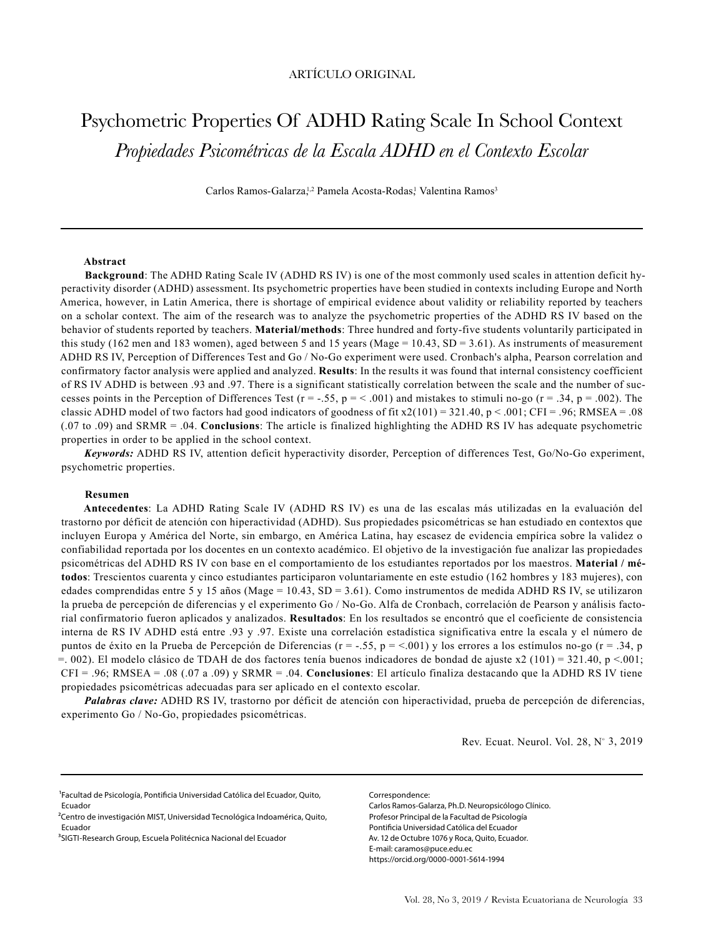# Psychometric Properties Of ADHD Rating Scale In School Context *Propiedades Psicométricas de la Escala ADHD en el Contexto Escolar*

Carlos Ramos-Galarza,<sup>1,2</sup> Pamela Acosta-Rodas,<sup>1</sup> Valentina Ramos<sup>3</sup>

#### **Abstract**

**Background**: The ADHD Rating Scale IV (ADHD RS IV) is one of the most commonly used scales in attention deficit hyperactivity disorder (ADHD) assessment. Its psychometric properties have been studied in contexts including Europe and North America, however, in Latin America, there is shortage of empirical evidence about validity or reliability reported by teachers on a scholar context. The aim of the research was to analyze the psychometric properties of the ADHD RS IV based on the behavior of students reported by teachers. **Material/methods**: Three hundred and forty-five students voluntarily participated in this study (162 men and 183 women), aged between 5 and 15 years (Mage = 10.43, SD = 3.61). As instruments of measurement ADHD RS IV, Perception of Differences Test and Go / No-Go experiment were used. Cronbach's alpha, Pearson correlation and confirmatory factor analysis were applied and analyzed. **Results**: In the results it was found that internal consistency coefficient of RS IV ADHD is between .93 and .97. There is a significant statistically correlation between the scale and the number of successes points in the Perception of Differences Test (r = -.55, p = < .001) and mistakes to stimuli no-go (r = .34, p = .002). The classic ADHD model of two factors had good indicators of goodness of fit  $x2(101) = 321.40$ , p < .001; CFI = .96; RMSEA = .08 (.07 to .09) and SRMR = .04. **Conclusions**: The article is finalized highlighting the ADHD RS IV has adequate psychometric properties in order to be applied in the school context.

*Keywords:* ADHD RS IV, attention deficit hyperactivity disorder, Perception of differences Test, Go/No-Go experiment, psychometric properties.

#### **Resumen**

**Antecedentes**: La ADHD Rating Scale IV (ADHD RS IV) es una de las escalas más utilizadas en la evaluación del trastorno por déficit de atención con hiperactividad (ADHD). Sus propiedades psicométricas se han estudiado en contextos que incluyen Europa y América del Norte, sin embargo, en América Latina, hay escasez de evidencia empírica sobre la validez o confiabilidad reportada por los docentes en un contexto académico. El objetivo de la investigación fue analizar las propiedades psicométricas del ADHD RS IV con base en el comportamiento de los estudiantes reportados por los maestros. **Material / métodos**: Trescientos cuarenta y cinco estudiantes participaron voluntariamente en este estudio (162 hombres y 183 mujeres), con edades comprendidas entre 5 y 15 años (Mage = 10.43, SD = 3.61). Como instrumentos de medida ADHD RS IV, se utilizaron la prueba de percepción de diferencias y el experimento Go / No-Go. Alfa de Cronbach, correlación de Pearson y análisis factorial confirmatorio fueron aplicados y analizados. **Resultados**: En los resultados se encontró que el coeficiente de consistencia interna de RS IV ADHD está entre .93 y .97. Existe una correlación estadística significativa entre la escala y el número de puntos de éxito en la Prueba de Percepción de Diferencias (r = -.55, p = <.001) y los errores a los estímulos no-go (r = .34, p  $=$ . 002). El modelo clásico de TDAH de dos factores tenía buenos indicadores de bondad de ajuste x2 (101) = 321.40, p <.001; CFI = .96; RMSEA = .08 (.07 a .09) y SRMR = .04. **Conclusiones**: El artículo finaliza destacando que la ADHD RS IV tiene propiedades psicométricas adecuadas para ser aplicado en el contexto escolar.

*Palabras clave:* ADHD RS IV, trastorno por déficit de atención con hiperactividad, prueba de percepción de diferencias, experimento Go / No-Go, propiedades psicométricas.

Rev. Ecuat. Neurol. Vol. 28,  $N^{\circ}$  3, 2019

1Facultad de Psicología, Pontificia Universidad Católica del Ecuador, Quito, Ecuador

Correspondence:

Carlos Ramos-Galarza, Ph.D. Neuropsicólogo Clínico. Profesor Principal de la Facultad de Psicología Pontificia Universidad Católica del Ecuador Av. 12 de Octubre 1076 y Roca, Quito, Ecuador. E-mail: caramos@puce.edu.ec https://orcid.org/0000-0001-5614-1994

<sup>&</sup>lt;sup>2</sup>Centro de investigación MIST, Universidad Tecnológica Indoamérica, Quito, Ecuador

<sup>3</sup>SIGTI-Research Group, Escuela Politécnica Nacional del Ecuador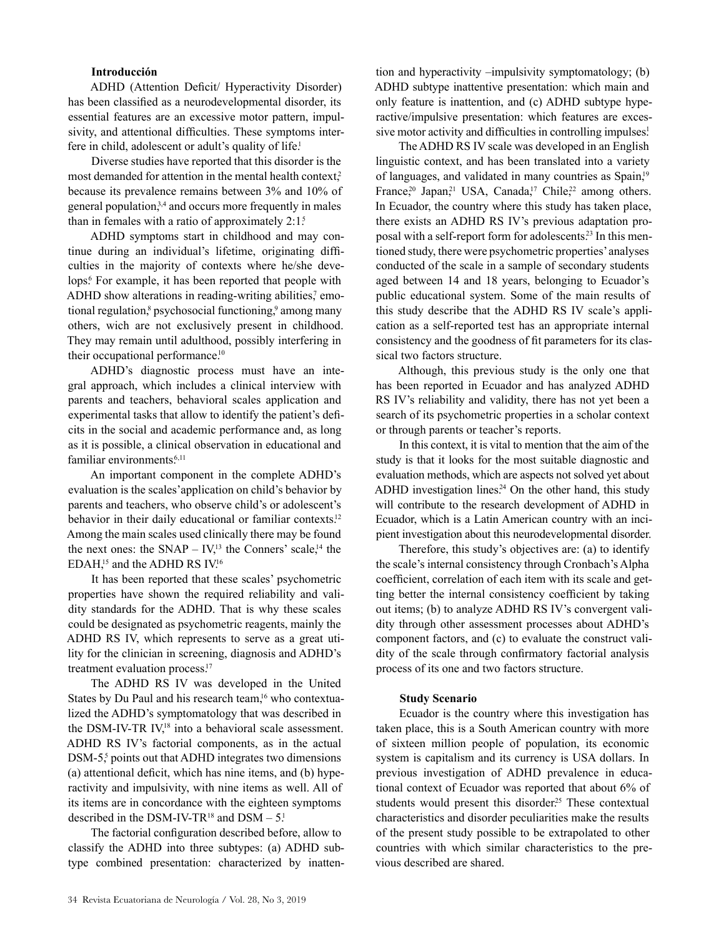## **Introducción**

ADHD (Attention Deficit/ Hyperactivity Disorder) has been classified as a neurodevelopmental disorder, its essential features are an excessive motor pattern, impulsivity, and attentional difficulties. These symptoms interfere in child, adolescent or adult's quality of life.<sup>1</sup>

Diverse studies have reported that this disorder is the most demanded for attention in the mental health context, $2<sup>2</sup>$ because its prevalence remains between 3% and 10% of general population,<sup>3,4</sup> and occurs more frequently in males than in females with a ratio of approximately  $2:1.5$ 

ADHD symptoms start in childhood and may continue during an individual's lifetime, originating difficulties in the majority of contexts where he/she develops.<sup>6</sup> For example, it has been reported that people with ADHD show alterations in reading-writing abilities,<sup>7</sup> emotional regulation,<sup>8</sup> psychosocial functioning,<sup>9</sup> among many others, wich are not exclusively present in childhood. They may remain until adulthood, possibly interfering in their occupational performance.<sup>10</sup>

ADHD's diagnostic process must have an integral approach, which includes a clinical interview with parents and teachers, behavioral scales application and experimental tasks that allow to identify the patient's deficits in the social and academic performance and, as long as it is possible, a clinical observation in educational and familiar environments.<sup>6,11</sup>

An important component in the complete ADHD's evaluation is the scales'application on child's behavior by parents and teachers, who observe child's or adolescent's behavior in their daily educational or familiar contexts.<sup>12</sup> Among the main scales used clinically there may be found the next ones: the  $SNAP - IV<sub>1</sub><sup>13</sup>$  the Conners' scale,<sup>14</sup> the EDAH,<sup>15</sup> and the ADHD RS IV.<sup>16</sup>

It has been reported that these scales' psychometric properties have shown the required reliability and validity standards for the ADHD. That is why these scales could be designated as psychometric reagents, mainly the ADHD RS IV, which represents to serve as a great utility for the clinician in screening, diagnosis and ADHD's treatment evaluation process.<sup>17</sup>

The ADHD RS IV was developed in the United States by Du Paul and his research team,<sup>16</sup> who contextualized the ADHD's symptomatology that was described in the DSM-IV-TR IV,<sup>18</sup> into a behavioral scale assessment. ADHD RS IV's factorial components, as in the actual DSM-5<sup>5</sup> points out that ADHD integrates two dimensions (a) attentional deficit, which has nine items, and (b) hyperactivity and impulsivity, with nine items as well. All of its items are in concordance with the eighteen symptoms described in the DSM-IV-TR<sup>18</sup> and DSM  $-5$ <sup>1</sup>

The factorial configuration described before, allow to classify the ADHD into three subtypes: (a) ADHD subtype combined presentation: characterized by inatten-

tion and hyperactivity –impulsivity symptomatology; (b) ADHD subtype inattentive presentation: which main and only feature is inattention, and (c) ADHD subtype hyperactive/impulsive presentation: which features are excessive motor activity and difficulties in controlling impulses!

The ADHD RS IV scale was developed in an English linguistic context, and has been translated into a variety of languages, and validated in many countries as Spain,<sup>19</sup> France,<sup>20</sup> Japan,<sup>21</sup> USA, Canada,<sup>17</sup> Chile,<sup>22</sup> among others. In Ecuador, the country where this study has taken place, there exists an ADHD RS IV's previous adaptation proposal with a self-report form for adolescents.<sup>23</sup> In this mentioned study, there were psychometric properties' analyses conducted of the scale in a sample of secondary students aged between 14 and 18 years, belonging to Ecuador's public educational system. Some of the main results of this study describe that the ADHD RS IV scale's application as a self-reported test has an appropriate internal consistency and the goodness of fit parameters for its classical two factors structure.

Although, this previous study is the only one that has been reported in Ecuador and has analyzed ADHD RS IV's reliability and validity, there has not yet been a search of its psychometric properties in a scholar context or through parents or teacher's reports.

In this context, it is vital to mention that the aim of the study is that it looks for the most suitable diagnostic and evaluation methods, which are aspects not solved yet about ADHD investigation lines.<sup>24</sup> On the other hand, this study will contribute to the research development of ADHD in Ecuador, which is a Latin American country with an incipient investigation about this neurodevelopmental disorder.

Therefore, this study's objectives are: (a) to identify the scale's internal consistency through Cronbach's Alpha coefficient, correlation of each item with its scale and getting better the internal consistency coefficient by taking out items; (b) to analyze ADHD RS IV's convergent validity through other assessment processes about ADHD's component factors, and (c) to evaluate the construct validity of the scale through confirmatory factorial analysis process of its one and two factors structure.

#### **Study Scenario**

Ecuador is the country where this investigation has taken place, this is a South American country with more of sixteen million people of population, its economic system is capitalism and its currency is USA dollars. In previous investigation of ADHD prevalence in educational context of Ecuador was reported that about 6% of students would present this disorder.<sup>25</sup> These contextual characteristics and disorder peculiarities make the results of the present study possible to be extrapolated to other countries with which similar characteristics to the previous described are shared.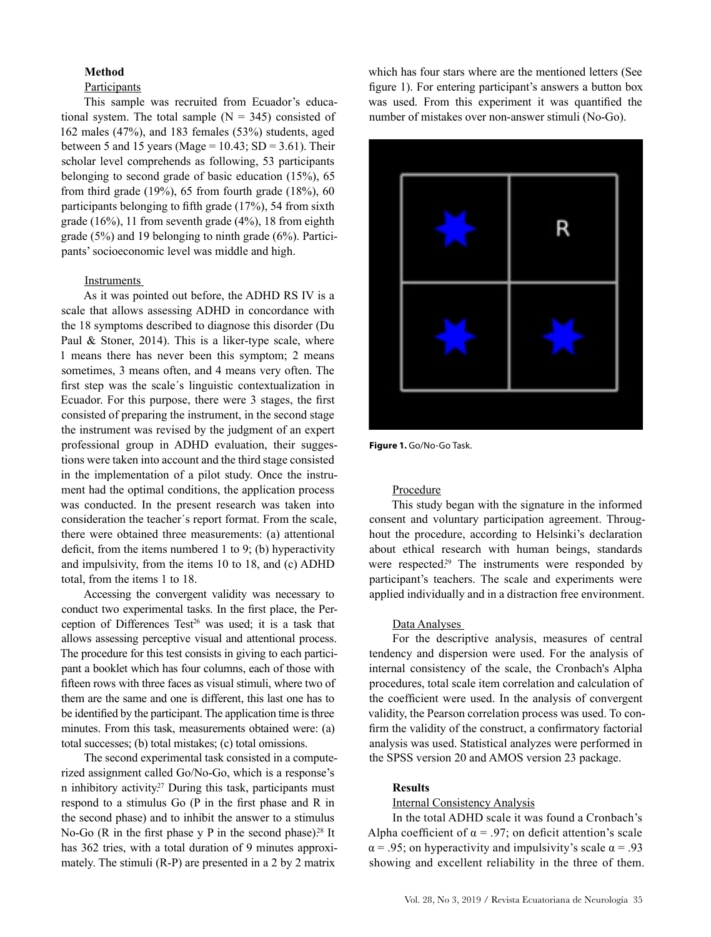## **Method**

# **Participants**

This sample was recruited from Ecuador's educational system. The total sample  $(N = 345)$  consisted of 162 males (47%), and 183 females (53%) students, aged between 5 and 15 years (Mage =  $10.43$ ; SD =  $3.61$ ). Their scholar level comprehends as following, 53 participants belonging to second grade of basic education (15%), 65 from third grade  $(19\%)$ , 65 from fourth grade  $(18\%)$ , 60 participants belonging to fifth grade (17%), 54 from sixth grade  $(16\%)$ , 11 from seventh grade  $(4\%)$ , 18 from eighth grade (5%) and 19 belonging to ninth grade (6%). Participants' socioeconomic level was middle and high.

## Instruments

As it was pointed out before, the ADHD RS IV is a scale that allows assessing ADHD in concordance with the 18 symptoms described to diagnose this disorder (Du Paul & Stoner, 2014). This is a liker-type scale, where 1 means there has never been this symptom; 2 means sometimes, 3 means often, and 4 means very often. The first step was the scale´s linguistic contextualization in Ecuador. For this purpose, there were 3 stages, the first consisted of preparing the instrument, in the second stage the instrument was revised by the judgment of an expert professional group in ADHD evaluation, their suggestions were taken into account and the third stage consisted in the implementation of a pilot study. Once the instrument had the optimal conditions, the application process was conducted. In the present research was taken into consideration the teacher´s report format. From the scale, there were obtained three measurements: (a) attentional deficit, from the items numbered 1 to 9; (b) hyperactivity and impulsivity, from the items 10 to 18, and (c) ADHD total, from the items 1 to 18.

Accessing the convergent validity was necessary to conduct two experimental tasks. In the first place, the Perception of Differences Test<sup>26</sup> was used; it is a task that allows assessing perceptive visual and attentional process. The procedure for this test consists in giving to each participant a booklet which has four columns, each of those with fifteen rows with three faces as visual stimuli, where two of them are the same and one is different, this last one has to be identified by the participant. The application time is three minutes. From this task, measurements obtained were: (a) total successes; (b) total mistakes; (c) total omissions.

The second experimental task consisted in a computerized assignment called Go/No-Go, which is a response's n inhibitory activity.<sup>27</sup> During this task, participants must respond to a stimulus Go (P in the first phase and R in the second phase) and to inhibit the answer to a stimulus No-Go (R in the first phase y P in the second phase).<sup>28</sup> It has 362 tries, with a total duration of 9 minutes approximately. The stimuli (R-P) are presented in a 2 by 2 matrix

which has four stars where are the mentioned letters (See figure 1). For entering participant's answers a button box was used. From this experiment it was quantified the number of mistakes over non-answer stimuli (No-Go).



**Figure 1.** Go/No-Go Task.

## Procedure

This study began with the signature in the informed consent and voluntary participation agreement. Throughout the procedure, according to Helsinki's declaration about ethical research with human beings, standards were respected.<sup>29</sup> The instruments were responded by participant's teachers. The scale and experiments were applied individually and in a distraction free environment.

### Data Analyses

For the descriptive analysis, measures of central tendency and dispersion were used. For the analysis of internal consistency of the scale, the Cronbach's Alpha procedures, total scale item correlation and calculation of the coefficient were used. In the analysis of convergent validity, the Pearson correlation process was used. To confirm the validity of the construct, a confirmatory factorial analysis was used. Statistical analyzes were performed in the SPSS version 20 and AMOS version 23 package.

#### **Results**

#### Internal Consistency Analysis

In the total ADHD scale it was found a Cronbach's Alpha coefficient of  $\alpha$  = .97; on deficit attention's scale  $\alpha$  = .95; on hyperactivity and impulsivity's scale  $\alpha$  = .93 showing and excellent reliability in the three of them.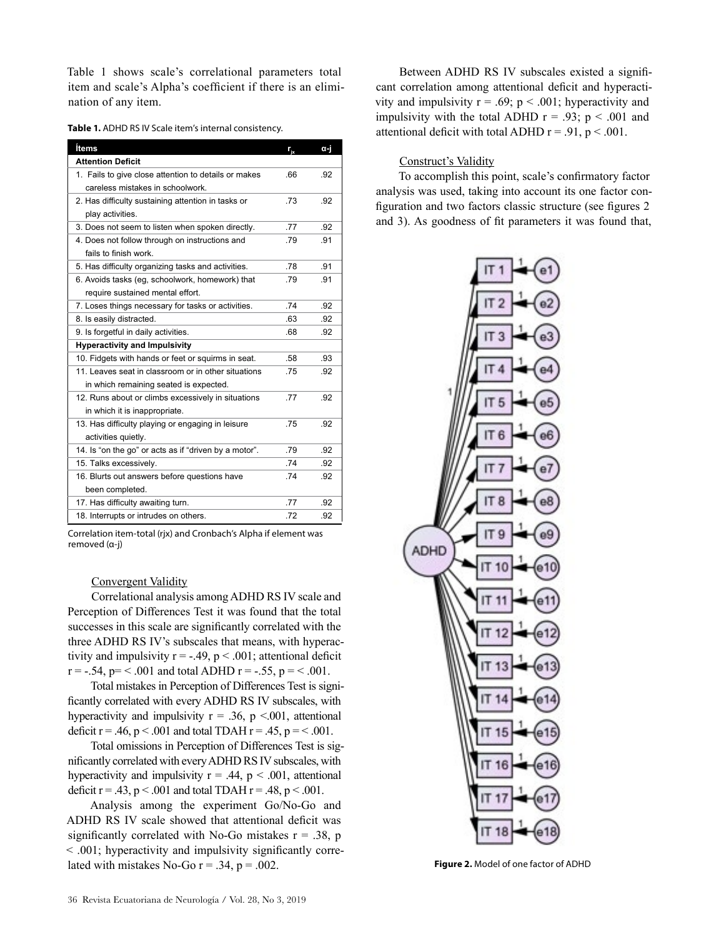Table 1 shows scale's correlational parameters total item and scale's Alpha's coefficient if there is an elimination of any item.

| Table 1. ADHD RS IV Scale item's internal consistency. |  |
|--------------------------------------------------------|--|
|--------------------------------------------------------|--|

| Ítems                                                 | $r_{i}$ | α-i |
|-------------------------------------------------------|---------|-----|
| <b>Attention Deficit</b>                              |         |     |
| 1. Fails to give close attention to details or makes  | .66     | .92 |
| careless mistakes in schoolwork.                      |         |     |
| 2. Has difficulty sustaining attention in tasks or    | .73     | .92 |
| play activities.                                      |         |     |
| 3. Does not seem to listen when spoken directly.      | .77     | .92 |
| 4. Does not follow through on instructions and        | .79     | .91 |
| fails to finish work.                                 |         |     |
| 5. Has difficulty organizing tasks and activities.    | .78     | .91 |
| 6. Avoids tasks (eg, schoolwork, homework) that       | .79     | .91 |
| require sustained mental effort.                      |         |     |
| 7. Loses things necessary for tasks or activities.    | .74     | .92 |
| 8. Is easily distracted.                              | .63     | .92 |
| 9. Is forgetful in daily activities.                  | .68     | .92 |
| <b>Hyperactivity and Impulsivity</b>                  |         |     |
| 10. Fidgets with hands or feet or squirms in seat.    | .58     | .93 |
| 11. Leaves seat in classroom or in other situations   | .75     | .92 |
| in which remaining seated is expected.                |         |     |
| 12. Runs about or climbs excessively in situations    | .77     | .92 |
| in which it is inappropriate.                         |         |     |
| 13. Has difficulty playing or engaging in leisure     | .75     | .92 |
| activities quietly.                                   |         |     |
| 14. Is "on the go" or acts as if "driven by a motor". | .79     | .92 |
| 15. Talks excessively.                                | .74     | .92 |
| 16. Blurts out answers before questions have          | .74     | .92 |
| been completed.                                       |         |     |
| 17. Has difficulty awaiting turn.                     | .77     | .92 |
| 18. Interrupts or intrudes on others.                 | .72     | .92 |

Correlation item-total (rjx) and Cronbach's Alpha if element was removed (α-j)

# Convergent Validity

Correlational analysis among ADHD RS IV scale and Perception of Differences Test it was found that the total successes in this scale are significantly correlated with the three ADHD RS IV's subscales that means, with hyperactivity and impulsivity  $r = -.49$ ,  $p < .001$ ; attentional deficit  $r = -.54$ ,  $p = < .001$  and total ADHD  $r = -.55$ ,  $p = < .001$ .

Total mistakes in Perception of Differences Test is significantly correlated with every ADHD RS IV subscales, with hyperactivity and impulsivity  $r = .36$ ,  $p < .001$ , attentional deficit  $r = .46$ ,  $p < .001$  and total TDAH  $r = .45$ ,  $p = < .001$ .

Total omissions in Perception of Differences Test is significantly correlated with every ADHD RS IV subscales, with hyperactivity and impulsivity  $r = .44$ ,  $p < .001$ , attentional deficit  $r = .43$ ,  $p < .001$  and total TDAH  $r = .48$ ,  $p < .001$ .

Analysis among the experiment Go/No-Go and ADHD RS IV scale showed that attentional deficit was significantly correlated with No-Go mistakes  $r = .38$ , p < .001; hyperactivity and impulsivity significantly correlated with mistakes No-Go  $r = .34$ ,  $p = .002$ . **Figure 2.** Model of one factor of ADHD

Between ADHD RS IV subscales existed a significant correlation among attentional deficit and hyperactivity and impulsivity  $r = .69$ ;  $p < .001$ ; hyperactivity and impulsivity with the total ADHD  $r = .93$ ;  $p < .001$  and attentional deficit with total ADHD  $r = .91$ ,  $p < .001$ .

# Construct's Validity

To accomplish this point, scale's confirmatory factor analysis was used, taking into account its one factor configuration and two factors classic structure (see figures 2 and 3). As goodness of fit parameters it was found that,

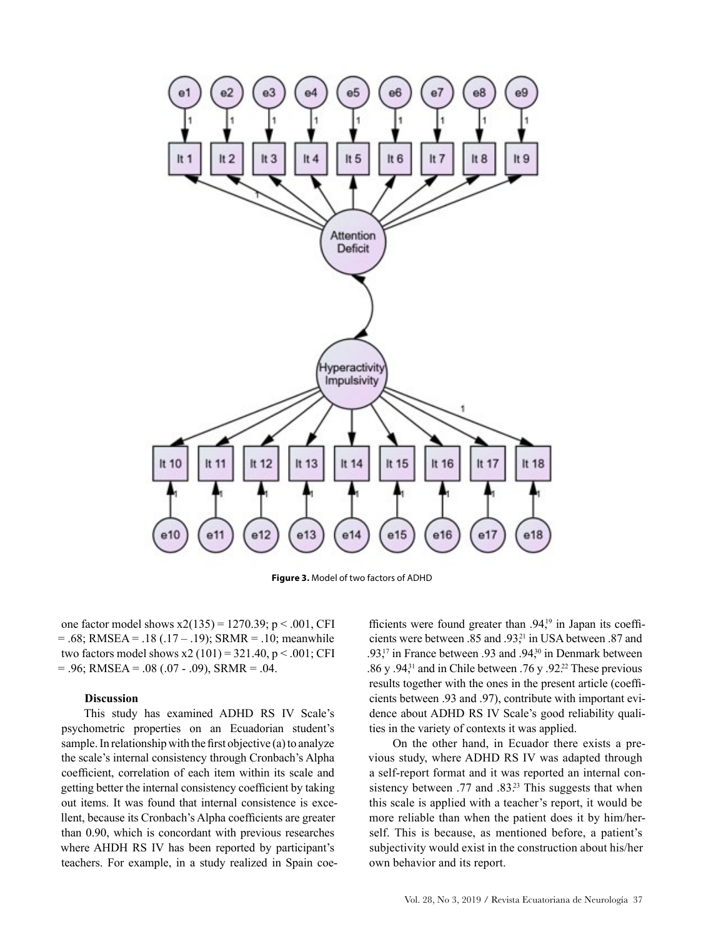

**Figure 3.** Model of two factors of ADHD

one factor model shows  $x2(135) = 1270.39$ ;  $p < .001$ , CFI  $= .68$ ; RMSEA =  $.18 (.17 - .19)$ ; SRMR =  $.10$ ; meanwhile two factors model shows  $x2(101) = 321.40$ ,  $p < .001$ ; CFI  $= .96$ ; RMSEA  $= .08$  (.07 - .09), SRMR  $= .04$ .

#### **Discussion**

This study has examined ADHD RS IV Scale's psychometric properties on an Ecuadorian student's sample. In relationship with the first objective (a) to analyze the scale's internal consistency through Cronbach's Alpha coefficient, correlation of each item within its scale and getting better the internal consistency coefficient by taking out items. It was found that internal consistence is excellent, because its Cronbach's Alpha coefficients are greater than 0.90, which is concordant with previous researches where AHDH RS IV has been reported by participant's teachers. For example, in a study realized in Spain coe-

fficients were found greater than  $.94<sup>19</sup>$  in Japan its coefficients were between .85 and .93,<sup>21</sup> in USA between .87 and .93,<sup>17</sup> in France between .93 and .94,<sup>30</sup> in Denmark between .86 y .94 $31$  and in Chile between .76 y .92 $22$  These previous results together with the ones in the present article (coefficients between .93 and .97), contribute with important evidence about ADHD RS IV Scale's good reliability qualities in the variety of contexts it was applied.

On the other hand, in Ecuador there exists a previous study, where ADHD RS IV was adapted through a self-report format and it was reported an internal consistency between .77 and .83.<sup>23</sup> This suggests that when this scale is applied with a teacher's report, it would be more reliable than when the patient does it by him/herself. This is because, as mentioned before, a patient's subjectivity would exist in the construction about his/her own behavior and its report.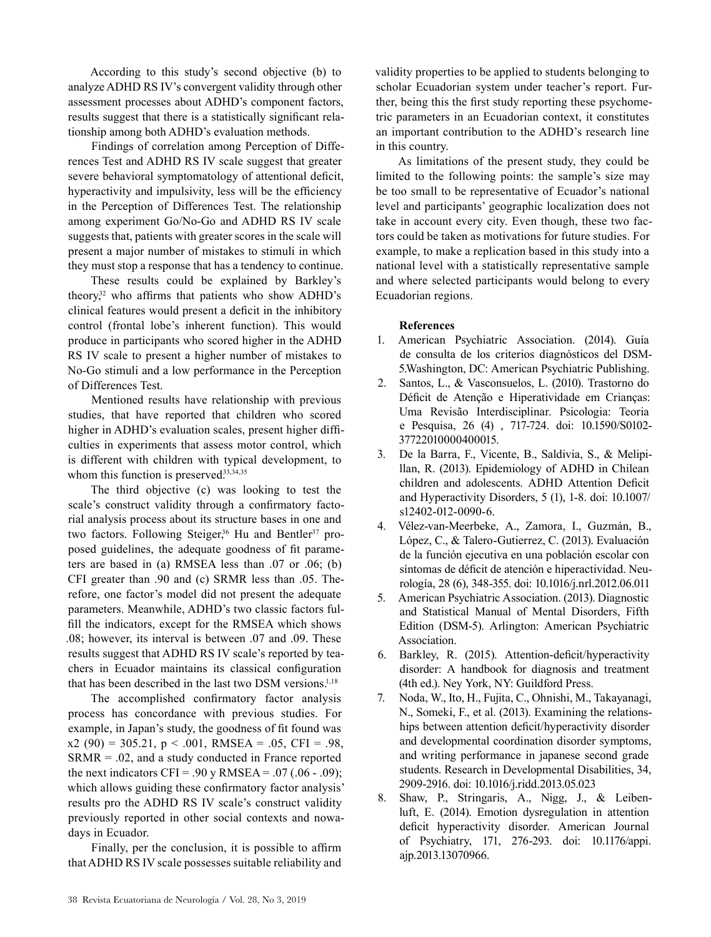According to this study's second objective (b) to analyze ADHD RS IV's convergent validity through other assessment processes about ADHD's component factors, results suggest that there is a statistically significant relationship among both ADHD's evaluation methods.

Findings of correlation among Perception of Differences Test and ADHD RS IV scale suggest that greater severe behavioral symptomatology of attentional deficit, hyperactivity and impulsivity, less will be the efficiency in the Perception of Differences Test. The relationship among experiment Go/No-Go and ADHD RS IV scale suggests that, patients with greater scores in the scale will present a major number of mistakes to stimuli in which they must stop a response that has a tendency to continue.

These results could be explained by Barkley's theory, $32$  who affirms that patients who show ADHD's clinical features would present a deficit in the inhibitory control (frontal lobe's inherent function). This would produce in participants who scored higher in the ADHD RS IV scale to present a higher number of mistakes to No-Go stimuli and a low performance in the Perception of Differences Test.

Mentioned results have relationship with previous studies, that have reported that children who scored higher in ADHD's evaluation scales, present higher difficulties in experiments that assess motor control, which is different with children with typical development, to whom this function is preserved.33,34,35

The third objective (c) was looking to test the scale's construct validity through a confirmatory factorial analysis process about its structure bases in one and two factors. Following Steiger,<sup>36</sup> Hu and Bentler<sup>37</sup> proposed guidelines, the adequate goodness of fit parameters are based in (a) RMSEA less than .07 or .06; (b) CFI greater than .90 and (c) SRMR less than .05. Therefore, one factor's model did not present the adequate parameters. Meanwhile, ADHD's two classic factors fulfill the indicators, except for the RMSEA which shows .08; however, its interval is between .07 and .09. These results suggest that ADHD RS IV scale's reported by teachers in Ecuador maintains its classical configuration that has been described in the last two DSM versions.1,18

The accomplished confirmatory factor analysis process has concordance with previous studies. For example, in Japan's study, the goodness of fit found was  $x2 (90) = 305.21$ ,  $p < .001$ , RMSEA = .05, CFI = .98,  $SRMR = .02$ , and a study conducted in France reported the next indicators CFI = .90 y RMSEA = .07 (.06 - .09); which allows guiding these confirmatory factor analysis' results pro the ADHD RS IV scale's construct validity previously reported in other social contexts and nowadays in Ecuador.

Finally, per the conclusion, it is possible to affirm that ADHD RS IV scale possesses suitable reliability and validity properties to be applied to students belonging to scholar Ecuadorian system under teacher's report. Further, being this the first study reporting these psychometric parameters in an Ecuadorian context, it constitutes an important contribution to the ADHD's research line in this country.

As limitations of the present study, they could be limited to the following points: the sample's size may be too small to be representative of Ecuador's national level and participants' geographic localization does not take in account every city. Even though, these two factors could be taken as motivations for future studies. For example, to make a replication based in this study into a national level with a statistically representative sample and where selected participants would belong to every Ecuadorian regions.

## **References**

- 1. American Psychiatric Association. (2014). Guía de consulta de los criterios diagnósticos del DSM-5.Washington, DC: American Psychiatric Publishing.
- 2. Santos, L., & Vasconsuelos, L. (2010). Trastorno do Déficit de Atenção e Hiperatividade em Crianças: Uma Revisão Interdisciplinar. Psicologia: Teoria e Pesquisa, 26 (4) , 717-724. doi: 10.1590/S0102- 37722010000400015.
- 3. De la Barra, F., Vicente, B., Saldivia, S., & Melipillan, R. (2013). Epidemiology of ADHD in Chilean children and adolescents. ADHD Attention Deficit and Hyperactivity Disorders, 5 (1), 1-8. doi: 10.1007/ s12402-012-0090-6.
- 4. Vélez-van-Meerbeke, A., Zamora, I., Guzmán, B., López, C., & Talero-Gutierrez, C. (2013). Evaluación de la función ejecutiva en una población escolar con síntomas de déficit de atención e hiperactividad. Neurología, 28 (6), 348-355. doi: 10.1016/j.nrl.2012.06.011
- 5. American Psychiatric Association. (2013). Diagnostic and Statistical Manual of Mental Disorders, Fifth Edition (DSM-5). Arlington: American Psychiatric Association.
- 6. Barkley, R. (2015). Attention-deficit/hyperactivity disorder: A handbook for diagnosis and treatment (4th ed.). Ney York, NY: Guildford Press.
- 7. Noda, W., Ito, H., Fujita, C., Ohnishi, M., Takayanagi, N., Someki, F., et al. (2013). Examining the relationships between attention deficit/hyperactivity disorder and developmental coordination disorder symptoms, and writing performance in japanese second grade students. Research in Developmental Disabilities, 34, 2909-2916. doi: 10.1016/j.ridd.2013.05.023
- 8. Shaw, P., Stringaris, A., Nigg, J., & Leibenluft, E. (2014). Emotion dysregulation in attention deficit hyperactivity disorder. American Journal of Psychiatry, 171, 276-293. doi: 10.1176/appi. ajp.2013.13070966.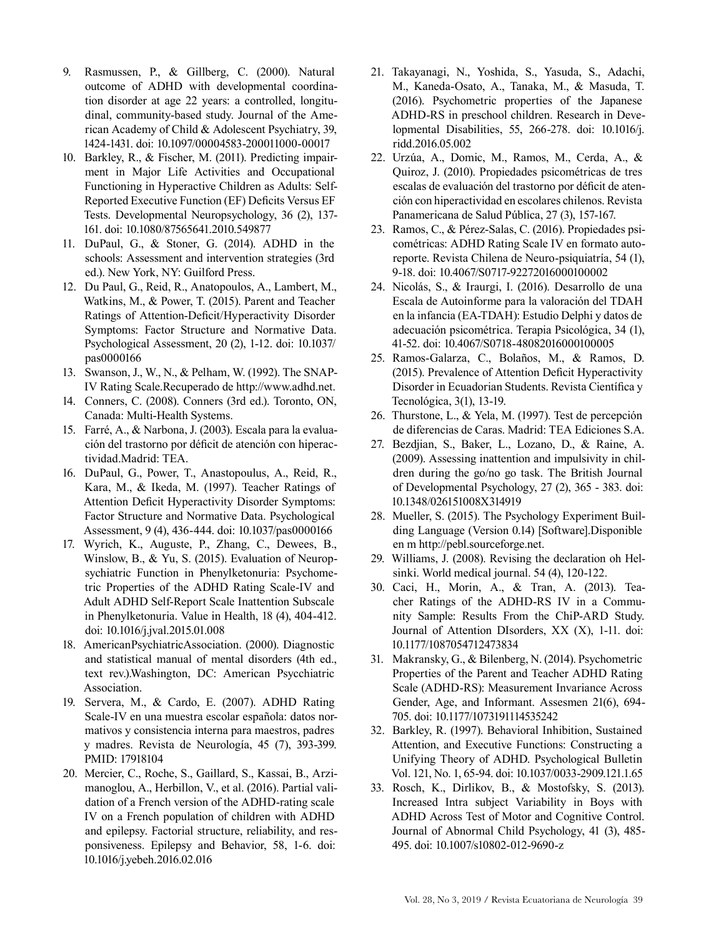- 9. Rasmussen, P., & Gillberg, C. (2000). Natural outcome of ADHD with developmental coordination disorder at age 22 years: a controlled, longitudinal, community-based study. Journal of the American Academy of Child & Adolescent Psychiatry, 39, 1424-1431. doi: 10.1097/00004583-200011000-00017
- 10. Barkley, R., & Fischer, M. (2011). Predicting impairment in Major Life Activities and Occupational Functioning in Hyperactive Children as Adults: Self-Reported Executive Function (EF) Deficits Versus EF Tests. Developmental Neuropsychology, 36 (2), 137- 161. doi: 10.1080/87565641.2010.549877
- 11. DuPaul, G., & Stoner, G. (2014). ADHD in the schools: Assessment and intervention strategies (3rd ed.). New York, NY: Guilford Press.
- 12. Du Paul, G., Reid, R., Anatopoulos, A., Lambert, M., Watkins, M., & Power, T. (2015). Parent and Teacher Ratings of Attention-Deficit/Hyperactivity Disorder Symptoms: Factor Structure and Normative Data. Psychological Assessment, 20 (2), 1-12. doi: 10.1037/ pas0000166
- 13. Swanson, J., W., N., & Pelham, W. (1992). The SNAP-IV Rating Scale.Recuperado de http://www.adhd.net.
- 14. Conners, C. (2008). Conners (3rd ed.). Toronto, ON, Canada: Multi-Health Systems.
- 15. Farré, A., & Narbona, J. (2003). Escala para la evaluación del trastorno por déficit de atención con hiperactividad.Madrid: TEA.
- 16. DuPaul, G., Power, T., Anastopoulus, A., Reid, R., Kara, M., & Ikeda, M. (1997). Teacher Ratings of Attention Deficit Hyperactivity Disorder Symptoms: Factor Structure and Normative Data. Psychological Assessment, 9 (4), 436-444. doi: 10.1037/pas0000166
- 17. Wyrich, K., Auguste, P., Zhang, C., Dewees, B., Winslow, B., & Yu, S. (2015). Evaluation of Neuropsychiatric Function in Phenylketonuria: Psychometric Properties of the ADHD Rating Scale-IV and Adult ADHD Self-Report Scale Inattention Subscale in Phenylketonuria. Value in Health, 18 (4), 404-412. doi: 10.1016/j.jval.2015.01.008
- 18. AmericanPsychiatricAssociation. (2000). Diagnostic and statistical manual of mental disorders (4th ed., text rev.).Washington, DC: American Psycchiatric Association.
- 19. Servera, M., & Cardo, E. (2007). ADHD Rating Scale-IV en una muestra escolar española: datos normativos y consistencia interna para maestros, padres y madres. Revista de Neurología, 45 (7), 393-399. PMID: 17918104
- 20. Mercier, C., Roche, S., Gaillard, S., Kassai, B., Arzimanoglou, A., Herbillon, V., et al. (2016). Partial validation of a French version of the ADHD-rating scale IV on a French population of children with ADHD and epilepsy. Factorial structure, reliability, and responsiveness. Epilepsy and Behavior, 58, 1-6. doi: 10.1016/j.yebeh.2016.02.016
- 21. Takayanagi, N., Yoshida, S., Yasuda, S., Adachi, M., Kaneda-Osato, A., Tanaka, M., & Masuda, T. (2016). Psychometric properties of the Japanese ADHD-RS in preschool children. Research in Developmental Disabilities, 55, 266-278. doi: 10.1016/j. ridd.2016.05.002
- 22. Urzúa, A., Domic, M., Ramos, M., Cerda, A., & Quiroz, J. (2010). Propiedades psicométricas de tres escalas de evaluación del trastorno por déficit de atención con hiperactividad en escolares chilenos. Revista Panamericana de Salud Pública, 27 (3), 157-167.
- 23. Ramos, C., & Pérez-Salas, C. (2016). Propiedades psicométricas: ADHD Rating Scale IV en formato autoreporte. Revista Chilena de Neuro-psiquiatría, 54 (1), 9-18. doi: 10.4067/S0717-92272016000100002
- 24. Nicolás, S., & Iraurgi, I. (2016). Desarrollo de una Escala de Autoinforme para la valoración del TDAH en la infancia (EA-TDAH): Estudio Delphi y datos de adecuación psicométrica. Terapia Psicológica, 34 (1), 41-52. doi: 10.4067/S0718-48082016000100005
- 25. Ramos-Galarza, C., Bolaños, M., & Ramos, D. (2015). Prevalence of Attention Deficit Hyperactivity Disorder in Ecuadorian Students. Revista Científica y Tecnológica, 3(1), 13-19.
- 26. Thurstone, L., & Yela, M. (1997). Test de percepción de diferencias de Caras. Madrid: TEA Ediciones S.A.
- 27. Bezdjian, S., Baker, L., Lozano, D., & Raine, A. (2009). Assessing inattention and impulsivity in children during the go/no go task. The British Journal of Developmental Psychology, 27 (2), 365 - 383. doi: 10.1348/026151008X314919
- 28. Mueller, S. (2015). The Psychology Experiment Building Language (Version 0.14) [Software].Disponible en m http://pebl.sourceforge.net.
- 29. Williams, J. (2008). Revising the declaration oh Helsinki. World medical journal. 54 (4), 120-122.
- 30. Caci, H., Morin, A., & Tran, A. (2013). Teacher Ratings of the ADHD-RS IV in a Community Sample: Results From the ChiP-ARD Study. Journal of Attention DIsorders, XX (X), 1-11. doi: 10.1177/1087054712473834
- 31. Makransky, G., & Bilenberg, N. (2014). Psychometric Properties of the Parent and Teacher ADHD Rating Scale (ADHD-RS): Measurement Invariance Across Gender, Age, and Informant. Assesmen 21(6), 694- 705. doi: 10.1177/1073191114535242
- 32. Barkley, R. (1997). Behavioral Inhibition, Sustained Attention, and Executive Functions: Constructing a Unifying Theory of ADHD. Psychological Bulletin Vol. 121, No. 1, 65-94. doi: 10.1037/0033-2909.121.1.65
- 33. Rosch, K., Dirlikov, B., & Mostofsky, S. (2013). Increased Intra subject Variability in Boys with ADHD Across Test of Motor and Cognitive Control. Journal of Abnormal Child Psychology, 41 (3), 485- 495. doi: 10.1007/s10802-012-9690-z